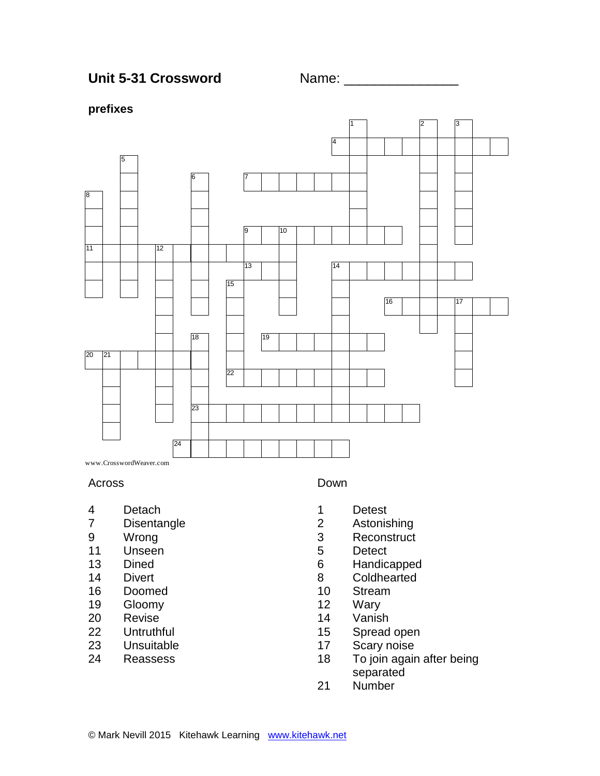Unit 5-31 Crossword Name:

### **prefixes**



www.CrosswordWeaver.com

#### Across

- Detach
- Disentangle
- Wrong
- Unseen
- Dined
- Divert
- 
- 16 Doomed<br>19 Gloomv Gloomy
- Revise
- Untruthful
- Unsuitable
- Reassess

### Down

- Detest
- Astonishing
- Reconstruct
- Detect
- Handicapped
- Coldhearted
- 10 Stream<br>12 Warv
- Wary
- Vanish
- Spread open
- Scary noise
- To join again after being separated
- Number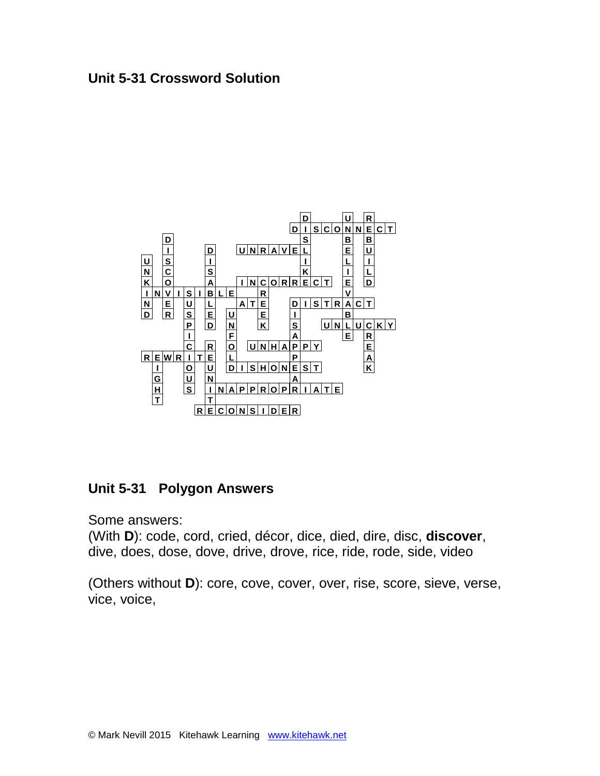## **Unit 5-31 Crossword Solution**



# **Unit 5-31 Polygon Answers**

Some answers:

(With **D**): code, cord, cried, décor, dice, died, dire, disc, **discover**, dive, does, dose, dove, drive, drove, rice, ride, rode, side, video

(Others without **D**): core, cove, cover, over, rise, score, sieve, verse, vice, voice,